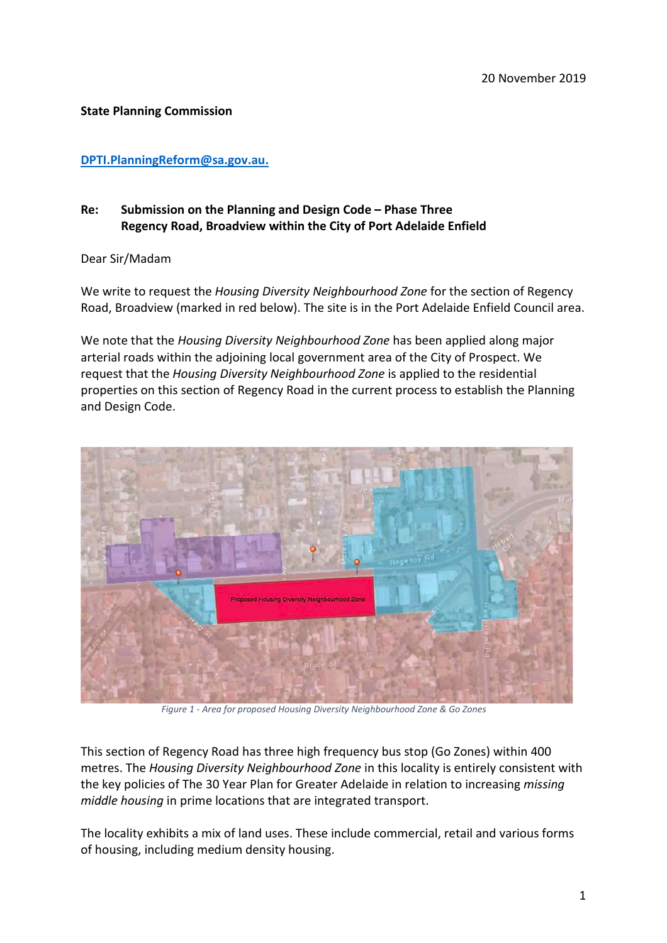## **State Planning Commission**

## **[DPTI.PlanningReform@sa.gov.au.](mailto:DPTI.PlanningReform@sa.gov.au)**

## **Re: Submission on the Planning and Design Code – Phase Three Regency Road, Broadview within the City of Port Adelaide Enfield**

Dear Sir/Madam

We write to request the *Housing Diversity Neighbourhood Zone* for the section of Regency Road, Broadview (marked in red below). The site is in the Port Adelaide Enfield Council area.

We note that the *Housing Diversity Neighbourhood Zone* has been applied along major arterial roads within the adjoining local government area of the City of Prospect. We request that the *Housing Diversity Neighbourhood Zone* is applied to the residential properties on this section of Regency Road in the current process to establish the Planning and Design Code.



*Figure 1 - Area for proposed Housing Diversity Neighbourhood Zone & Go Zones*

This section of Regency Road has three high frequency bus stop (Go Zones) within 400 metres. The *Housing Diversity Neighbourhood Zone* in this locality is entirely consistent with the key policies of The 30 Year Plan for Greater Adelaide in relation to increasing *missing middle housing* in prime locations that are integrated transport.

The locality exhibits a mix of land uses. These include commercial, retail and various forms of housing, including medium density housing.